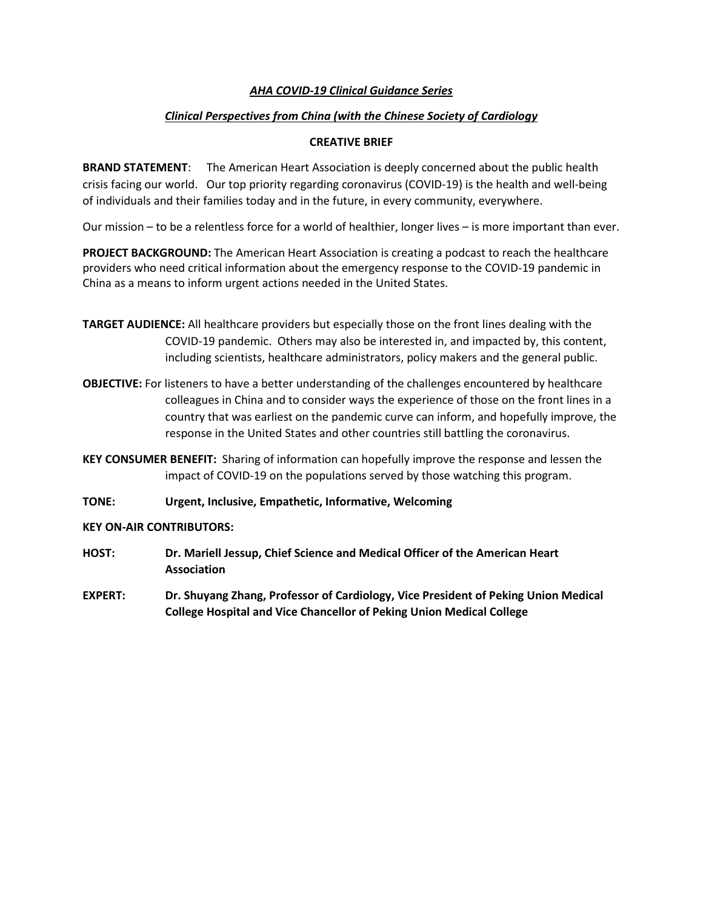## *AHA COVID-19 Clinical Guidance Series*

# *Clinical Perspectives from China (with the Chinese Society of Cardiology*

## **CREATIVE BRIEF**

**BRAND STATEMENT**: The American Heart Association is deeply concerned about the public health crisis facing our world. Our top priority regarding coronavirus (COVID-19) is the health and well-being of individuals and their families today and in the future, in every community, everywhere.

Our mission – to be a relentless force for a world of healthier, longer lives – is more important than ever.

**PROJECT BACKGROUND:** The American Heart Association is creating a podcast to reach the healthcare providers who need critical information about the emergency response to the COVID-19 pandemic in China as a means to inform urgent actions needed in the United States.

- **TARGET AUDIENCE:** All healthcare providers but especially those on the front lines dealing with the COVID-19 pandemic. Others may also be interested in, and impacted by, this content, including scientists, healthcare administrators, policy makers and the general public.
- **OBJECTIVE:** For listeners to have a better understanding of the challenges encountered by healthcare colleagues in China and to consider ways the experience of those on the front lines in a country that was earliest on the pandemic curve can inform, and hopefully improve, the response in the United States and other countries still battling the coronavirus.
- **KEY CONSUMER BENEFIT:** Sharing of information can hopefully improve the response and lessen the impact of COVID-19 on the populations served by those watching this program.
- **TONE: Urgent, Inclusive, Empathetic, Informative, Welcoming**

#### **KEY ON-AIR CONTRIBUTORS:**

- **HOST: Dr. Mariell Jessup, Chief Science and Medical Officer of the American Heart Association**
- **EXPERT: Dr. Shuyang Zhang, Professor of Cardiology, Vice President of Peking Union Medical College Hospital and Vice Chancellor of Peking Union Medical College**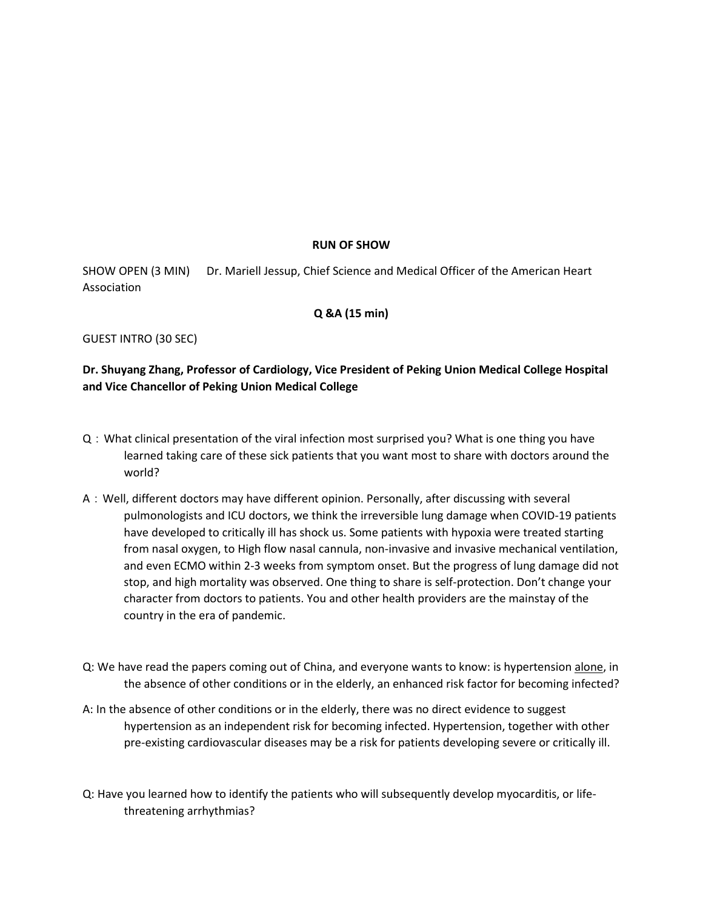### **RUN OF SHOW**

SHOW OPEN (3 MIN) Dr. Mariell Jessup, Chief Science and Medical Officer of the American Heart Association

### **Q &A (15 min)**

GUEST INTRO (30 SEC)

# **Dr. Shuyang Zhang, Professor of Cardiology, Vice President of Peking Union Medical College Hospital and Vice Chancellor of Peking Union Medical College**

- Q:What clinical presentation of the viral infection most surprised you? What is one thing you have learned taking care of these sick patients that you want most to share with doctors around the world?
- A:Well, different doctors may have different opinion. Personally, after discussing with several pulmonologists and ICU doctors, we think the irreversible lung damage when COVID-19 patients have developed to critically ill has shock us. Some patients with hypoxia were treated starting from nasal oxygen, to High flow nasal cannula, non-invasive and invasive mechanical ventilation, and even ECMO within 2-3 weeks from symptom onset. But the progress of lung damage did not stop, and high mortality was observed. One thing to share is self-protection. Don't change your character from doctors to patients. You and other health providers are the mainstay of the country in the era of pandemic.
- Q: We have read the papers coming out of China, and everyone wants to know: is hypertension alone, in the absence of other conditions or in the elderly, an enhanced risk factor for becoming infected?
- A: In the absence of other conditions or in the elderly, there was no direct evidence to suggest hypertension as an independent risk for becoming infected. Hypertension, together with other pre-existing cardiovascular diseases may be a risk for patients developing severe or critically ill.
- Q: Have you learned how to identify the patients who will subsequently develop myocarditis, or lifethreatening arrhythmias?